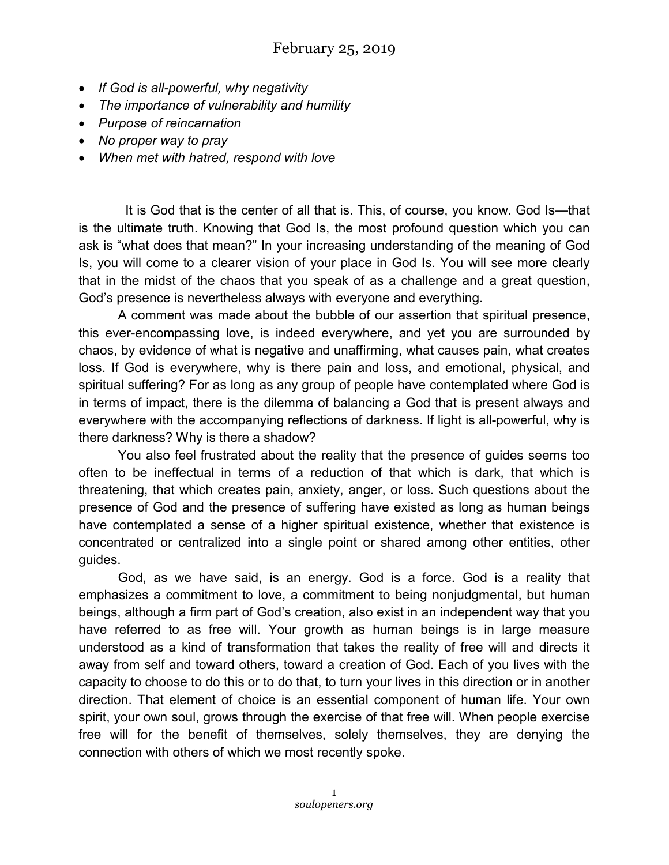- *If God is all-powerful, why negativity*
- *The importance of vulnerability and humility*
- *Purpose of reincarnation*
- *No proper way to pray*
- *When met with hatred, respond with love*

 It is God that is the center of all that is. This, of course, you know. God Is—that is the ultimate truth. Knowing that God Is, the most profound question which you can ask is "what does that mean?" In your increasing understanding of the meaning of God Is, you will come to a clearer vision of your place in God Is. You will see more clearly that in the midst of the chaos that you speak of as a challenge and a great question, God's presence is nevertheless always with everyone and everything.

A comment was made about the bubble of our assertion that spiritual presence, this ever-encompassing love, is indeed everywhere, and yet you are surrounded by chaos, by evidence of what is negative and unaffirming, what causes pain, what creates loss. If God is everywhere, why is there pain and loss, and emotional, physical, and spiritual suffering? For as long as any group of people have contemplated where God is in terms of impact, there is the dilemma of balancing a God that is present always and everywhere with the accompanying reflections of darkness. If light is all-powerful, why is there darkness? Why is there a shadow?

You also feel frustrated about the reality that the presence of guides seems too often to be ineffectual in terms of a reduction of that which is dark, that which is threatening, that which creates pain, anxiety, anger, or loss. Such questions about the presence of God and the presence of suffering have existed as long as human beings have contemplated a sense of a higher spiritual existence, whether that existence is concentrated or centralized into a single point or shared among other entities, other guides.

God, as we have said, is an energy. God is a force. God is a reality that emphasizes a commitment to love, a commitment to being nonjudgmental, but human beings, although a firm part of God's creation, also exist in an independent way that you have referred to as free will. Your growth as human beings is in large measure understood as a kind of transformation that takes the reality of free will and directs it away from self and toward others, toward a creation of God. Each of you lives with the capacity to choose to do this or to do that, to turn your lives in this direction or in another direction. That element of choice is an essential component of human life. Your own spirit, your own soul, grows through the exercise of that free will. When people exercise free will for the benefit of themselves, solely themselves, they are denying the connection with others of which we most recently spoke.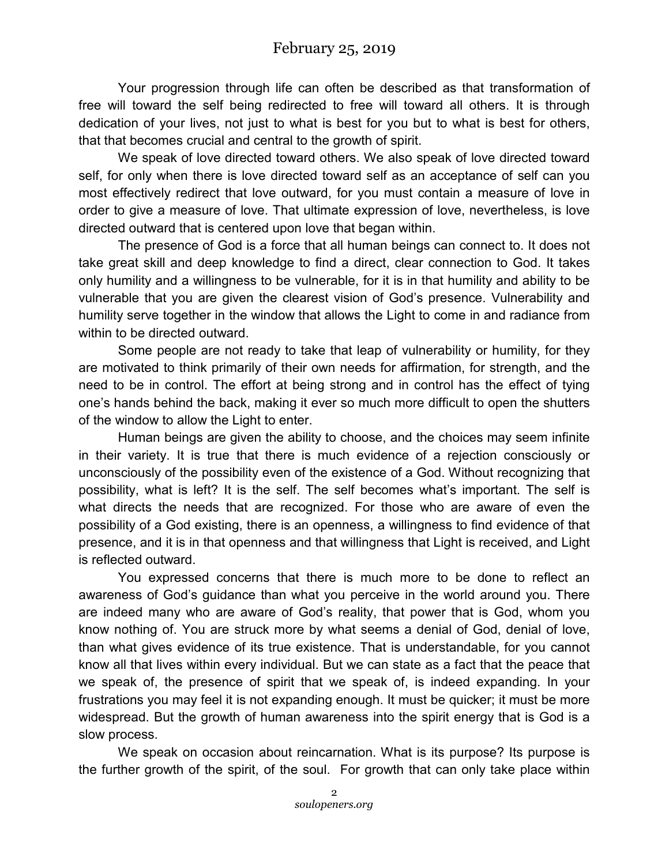Your progression through life can often be described as that transformation of free will toward the self being redirected to free will toward all others. It is through dedication of your lives, not just to what is best for you but to what is best for others, that that becomes crucial and central to the growth of spirit.

We speak of love directed toward others. We also speak of love directed toward self, for only when there is love directed toward self as an acceptance of self can you most effectively redirect that love outward, for you must contain a measure of love in order to give a measure of love. That ultimate expression of love, nevertheless, is love directed outward that is centered upon love that began within.

The presence of God is a force that all human beings can connect to. It does not take great skill and deep knowledge to find a direct, clear connection to God. It takes only humility and a willingness to be vulnerable, for it is in that humility and ability to be vulnerable that you are given the clearest vision of God's presence. Vulnerability and humility serve together in the window that allows the Light to come in and radiance from within to be directed outward.

Some people are not ready to take that leap of vulnerability or humility, for they are motivated to think primarily of their own needs for affirmation, for strength, and the need to be in control. The effort at being strong and in control has the effect of tying one's hands behind the back, making it ever so much more difficult to open the shutters of the window to allow the Light to enter.

Human beings are given the ability to choose, and the choices may seem infinite in their variety. It is true that there is much evidence of a rejection consciously or unconsciously of the possibility even of the existence of a God. Without recognizing that possibility, what is left? It is the self. The self becomes what's important. The self is what directs the needs that are recognized. For those who are aware of even the possibility of a God existing, there is an openness, a willingness to find evidence of that presence, and it is in that openness and that willingness that Light is received, and Light is reflected outward.

You expressed concerns that there is much more to be done to reflect an awareness of God's guidance than what you perceive in the world around you. There are indeed many who are aware of God's reality, that power that is God, whom you know nothing of. You are struck more by what seems a denial of God, denial of love, than what gives evidence of its true existence. That is understandable, for you cannot know all that lives within every individual. But we can state as a fact that the peace that we speak of, the presence of spirit that we speak of, is indeed expanding. In your frustrations you may feel it is not expanding enough. It must be quicker; it must be more widespread. But the growth of human awareness into the spirit energy that is God is a slow process.

We speak on occasion about reincarnation. What is its purpose? Its purpose is the further growth of the spirit, of the soul. For growth that can only take place within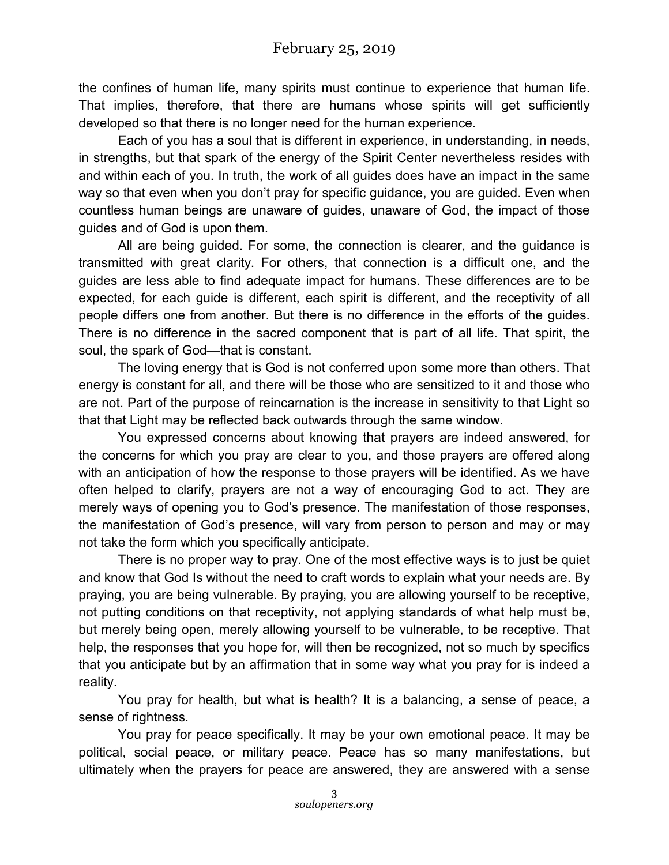the confines of human life, many spirits must continue to experience that human life. That implies, therefore, that there are humans whose spirits will get sufficiently developed so that there is no longer need for the human experience.

Each of you has a soul that is different in experience, in understanding, in needs, in strengths, but that spark of the energy of the Spirit Center nevertheless resides with and within each of you. In truth, the work of all guides does have an impact in the same way so that even when you don't pray for specific guidance, you are guided. Even when countless human beings are unaware of guides, unaware of God, the impact of those guides and of God is upon them.

All are being guided. For some, the connection is clearer, and the guidance is transmitted with great clarity. For others, that connection is a difficult one, and the guides are less able to find adequate impact for humans. These differences are to be expected, for each guide is different, each spirit is different, and the receptivity of all people differs one from another. But there is no difference in the efforts of the guides. There is no difference in the sacred component that is part of all life. That spirit, the soul, the spark of God—that is constant.

The loving energy that is God is not conferred upon some more than others. That energy is constant for all, and there will be those who are sensitized to it and those who are not. Part of the purpose of reincarnation is the increase in sensitivity to that Light so that that Light may be reflected back outwards through the same window.

You expressed concerns about knowing that prayers are indeed answered, for the concerns for which you pray are clear to you, and those prayers are offered along with an anticipation of how the response to those prayers will be identified. As we have often helped to clarify, prayers are not a way of encouraging God to act. They are merely ways of opening you to God's presence. The manifestation of those responses, the manifestation of God's presence, will vary from person to person and may or may not take the form which you specifically anticipate.

There is no proper way to pray. One of the most effective ways is to just be quiet and know that God Is without the need to craft words to explain what your needs are. By praying, you are being vulnerable. By praying, you are allowing yourself to be receptive, not putting conditions on that receptivity, not applying standards of what help must be, but merely being open, merely allowing yourself to be vulnerable, to be receptive. That help, the responses that you hope for, will then be recognized, not so much by specifics that you anticipate but by an affirmation that in some way what you pray for is indeed a reality.

You pray for health, but what is health? It is a balancing, a sense of peace, a sense of rightness.

You pray for peace specifically. It may be your own emotional peace. It may be political, social peace, or military peace. Peace has so many manifestations, but ultimately when the prayers for peace are answered, they are answered with a sense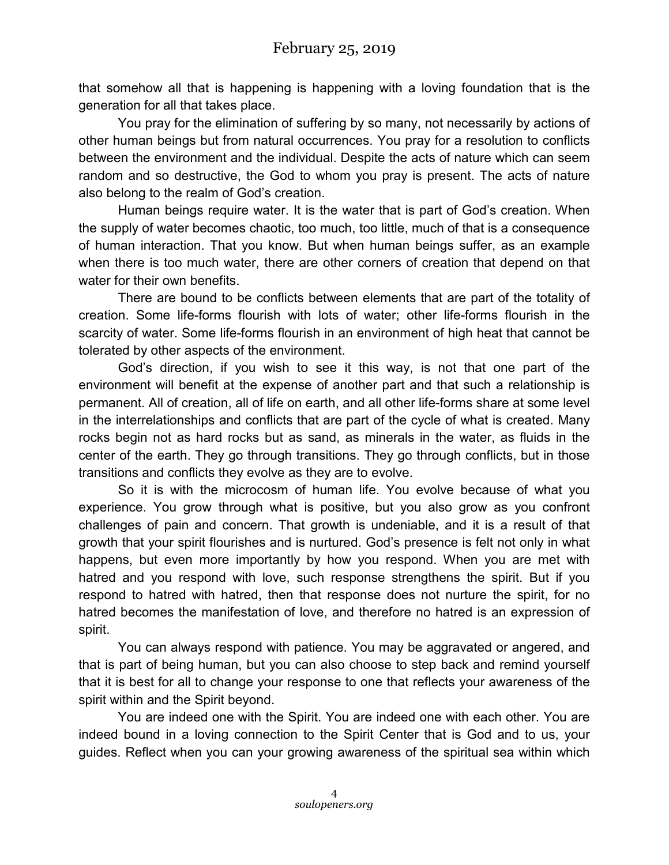that somehow all that is happening is happening with a loving foundation that is the generation for all that takes place.

You pray for the elimination of suffering by so many, not necessarily by actions of other human beings but from natural occurrences. You pray for a resolution to conflicts between the environment and the individual. Despite the acts of nature which can seem random and so destructive, the God to whom you pray is present. The acts of nature also belong to the realm of God's creation.

Human beings require water. It is the water that is part of God's creation. When the supply of water becomes chaotic, too much, too little, much of that is a consequence of human interaction. That you know. But when human beings suffer, as an example when there is too much water, there are other corners of creation that depend on that water for their own benefits.

There are bound to be conflicts between elements that are part of the totality of creation. Some life-forms flourish with lots of water; other life-forms flourish in the scarcity of water. Some life-forms flourish in an environment of high heat that cannot be tolerated by other aspects of the environment.

God's direction, if you wish to see it this way, is not that one part of the environment will benefit at the expense of another part and that such a relationship is permanent. All of creation, all of life on earth, and all other life-forms share at some level in the interrelationships and conflicts that are part of the cycle of what is created. Many rocks begin not as hard rocks but as sand, as minerals in the water, as fluids in the center of the earth. They go through transitions. They go through conflicts, but in those transitions and conflicts they evolve as they are to evolve.

So it is with the microcosm of human life. You evolve because of what you experience. You grow through what is positive, but you also grow as you confront challenges of pain and concern. That growth is undeniable, and it is a result of that growth that your spirit flourishes and is nurtured. God's presence is felt not only in what happens, but even more importantly by how you respond. When you are met with hatred and you respond with love, such response strengthens the spirit. But if you respond to hatred with hatred, then that response does not nurture the spirit, for no hatred becomes the manifestation of love, and therefore no hatred is an expression of spirit.

You can always respond with patience. You may be aggravated or angered, and that is part of being human, but you can also choose to step back and remind yourself that it is best for all to change your response to one that reflects your awareness of the spirit within and the Spirit beyond.

You are indeed one with the Spirit. You are indeed one with each other. You are indeed bound in a loving connection to the Spirit Center that is God and to us, your guides. Reflect when you can your growing awareness of the spiritual sea within which